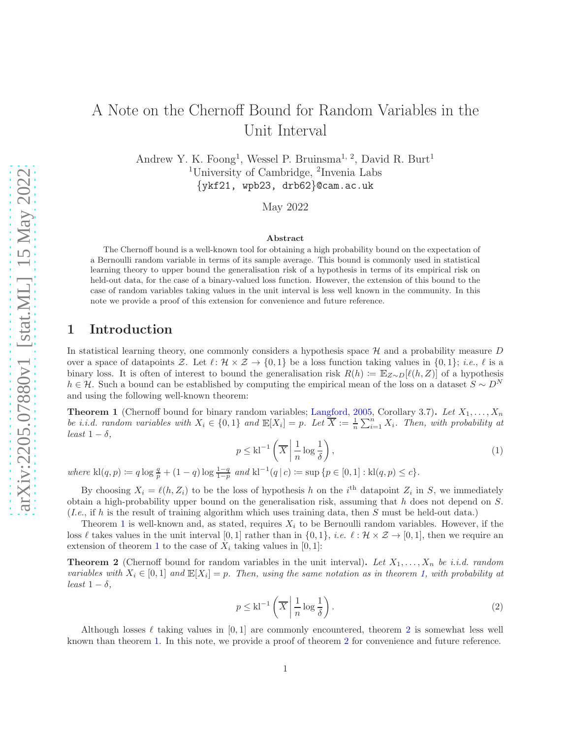# A Note on the Chernoff Bound for Random Variables in the Unit Interval

Andrew Y. K. Foong<sup>1</sup>, Wessel P. Bruinsma<sup>1, 2</sup>, David R. Burt<sup>1</sup> <sup>1</sup>University of Cambridge, <sup>2</sup>Invenia Labs  $\{ykf21, wpb23, drb62\}$ @cam.ac.uk

May 2022

#### Abstract

The Chernoff bound is a well-known tool for obtaining a high probability bound on the expectation of a Bernoulli random variable in terms of its sample average. This bound is commonly used in statistical learning theory to upper bound the generalisation risk of a hypothesis in terms of its empirical risk on held-out data, for the case of a binary-valued loss function. However, the extension of this bound to the case of random variables taking values in the unit interval is less well known in the community. In this note we provide a proof of this extension for convenience and future reference.

### 1 Introduction

In statistical learning theory, one commonly considers a hypothesis space  $\mathcal H$  and a probability measure D over a space of datapoints Z. Let  $\ell: \mathcal{H} \times \mathcal{Z} \to \{0,1\}$  be a loss function taking values in  $\{0,1\}$ ; *i.e.*,  $\ell$  is a binary loss. It is often of interest to bound the generalisation risk  $R(h) := \mathbb{E}_{Z \sim D}[\ell(h, Z)]$  of a hypothesis  $h \in \mathcal{H}$ . Such a bound can be established by computing the empirical mean of the loss on a dataset  $S \sim D^N$ and using the following well-known theorem:

<span id="page-0-0"></span>**Theorem 1** (Chernoff bound for binary random variables; [Langford,](#page-2-0) [2005](#page-2-0), Corollary 3.7). Let  $X_1, \ldots, X_n$ *be i.i.d. random variables with*  $X_i \in \{0, 1\}$  and  $\mathbb{E}[X_i] = p$ . Let  $\overline{X} := \frac{1}{n} \sum_{i=1}^n X_i$ . Then, with probability at *least*  $1 - \delta$ *,* 

$$
p \le \text{kl}^{-1} \left( \overline{X} \middle| \frac{1}{n} \log \frac{1}{\delta} \right),\tag{1}
$$

 $where \ \mathsf{kl}(q,p) \coloneqq q \log \frac{q}{p} + (1-q) \log \frac{1-q}{1-p} \ and \ \mathsf{kl}^{-1}(q \,|\, c) \coloneqq \sup \{p \in [0,1]: \mathsf{kl}(q,p) \leq c\}.$ 

By choosing  $X_i = \ell(h, Z_i)$  to be the loss of hypothesis h on the i<sup>th</sup> datapoint  $Z_i$  in S, we immediately obtain a high-probability upper bound on the generalisation risk, assuming that  $h$  does not depend on  $S$ . (*I.e.*, if h is the result of training algorithm which uses training data, then S must be held-out data.)

Theorem [1](#page-0-0) is well-known and, as stated, requires  $X_i$  to be Bernoulli random variables. However, if the loss  $\ell$  takes values in the unit interval [0, 1] rather than in  $\{0,1\}$ , *i.e.*  $\ell : \mathcal{H} \times \mathcal{Z} \to [0,1]$ , then we require an extension of theorem [1](#page-0-0) to the case of  $X_i$  taking values in [0, 1]:

<span id="page-0-1"></span>**Theorem 2** (Chernoff bound for random variables in the unit interval). Let  $X_1, \ldots, X_n$  be i.i.d. random *variables with*  $X_i \in [0,1]$  and  $\mathbb{E}[X_i] = p$ . Then, using the same notation as in theorem [1,](#page-0-0) with probability at *least*  $1 - \delta$ *,* 

$$
p \le \text{kl}^{-1} \left( \overline{X} \middle| \frac{1}{n} \log \frac{1}{\delta} \right). \tag{2}
$$

Although losses  $\ell$  taking values in [0, 1] are commonly encountered, theorem [2](#page-0-1) is somewhat less well known than theorem [1.](#page-0-0) In this note, we provide a proof of theorem [2](#page-0-1) for convenience and future reference.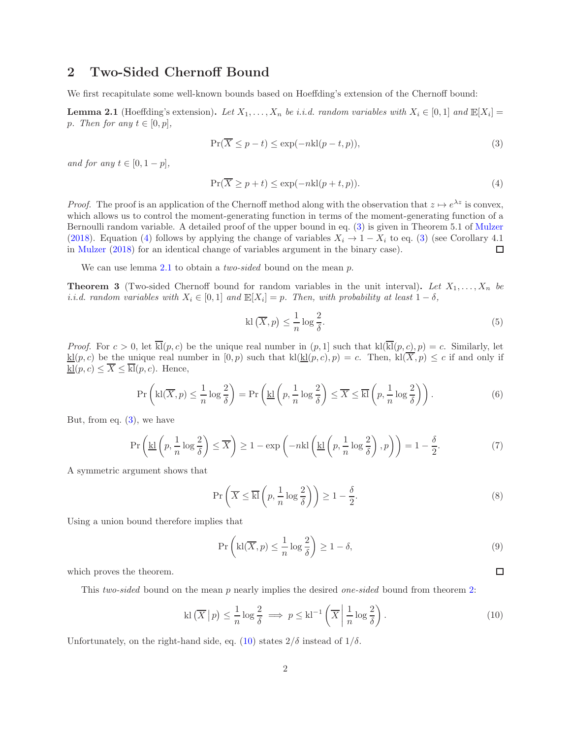#### 2 Two-Sided Chernoff Bound

<span id="page-1-2"></span>We first recapitulate some well-known bounds based on Hoeffding's extension of the Chernoff bound:

**Lemma 2.1** (Hoeffding's extension). Let  $X_1, \ldots, X_n$  be i.i.d. random variables with  $X_i \in [0,1]$  and  $\mathbb{E}[X_i] =$ p*.* Then for any  $t \in [0, p]$ ,

<span id="page-1-0"></span>
$$
\Pr(\overline{X} \le p - t) \le \exp(-n\text{kl}(p - t, p)),\tag{3}
$$

*and for any*  $t \in [0, 1-p]$ *,* 

$$
\Pr(\overline{X} \ge p + t) \le \exp(-n\text{kl}(p + t, p)).\tag{4}
$$

*Proof.* The proof is an application of the Chernoff method along with the observation that  $z \mapsto e^{\lambda z}$  is convex, which allows us to control the moment-generating function in terms of the moment-generating function of a Bernoulli random variable. A detailed proof of the upper bound in eq. [\(3\)](#page-1-0) is given in Theorem 5.1 of [Mulzer](#page-2-1) [\(2018\)](#page-2-1). Equation [\(4\)](#page-1-1) follows by applying the change of variables  $X_i \to 1 - X_i$  to eq. [\(3\)](#page-1-0) (see Corollary 4.1) in [Mulzer](#page-2-1) [\(2018\)](#page-2-1) for an identical change of variables argument in the binary case). □

<span id="page-1-4"></span>We can use lemma [2.1](#page-1-2) to obtain a *two-sided* bound on the mean p.

**Theorem 3** (Two-sided Chernoff bound for random variables in the unit interval). Let  $X_1, \ldots, X_n$  be *i.i.d.* random variables with  $X_i \in [0,1]$  and  $\mathbb{E}[X_i] = p$ . Then, with probability at least  $1 - \delta$ ,

<span id="page-1-1"></span>
$$
kl\left(\overline{X},p\right) \le \frac{1}{n}\log\frac{2}{\delta}.\tag{5}
$$

*Proof.* For  $c > 0$ , let  $\overline{k}(p, c)$  be the unique real number in  $(p, 1]$  such that  $k(\overline{k}(p, c), p) = c$ . Similarly, let  $\underline{kl}(p, c)$  be the unique real number in  $[0, p)$  such that  $kl(\underline{kl}(p, c), p) = c$ . Then,  $kl(\overline{X}, p) \leq c$  if and only if  $\underline{\mathrm{kl}}(p, c) \leq \overline{X} \leq \overline{\mathrm{kl}}(p, c)$ . Hence,

$$
\Pr\left(\text{kl}(\overline{X},p) \le \frac{1}{n}\log\frac{2}{\delta}\right) = \Pr\left(\underline{\text{kl}}\left(p, \frac{1}{n}\log\frac{2}{\delta}\right) \le \overline{X} \le \overline{\text{kl}}\left(p, \frac{1}{n}\log\frac{2}{\delta}\right)\right). \tag{6}
$$

But, from eq.  $(3)$ , we have

$$
\Pr\left(\underline{\text{kl}}\left(p, \frac{1}{n}\log\frac{2}{\delta}\right) \le \overline{X}\right) \ge 1 - \exp\left(-n\text{kl}\left(\underline{\text{kl}}\left(p, \frac{1}{n}\log\frac{2}{\delta}\right), p\right)\right) = 1 - \frac{\delta}{2}.\tag{7}
$$

A symmetric argument shows that

$$
\Pr\left(\overline{X} \le \overline{\mathbf{k}!} \left(p, \frac{1}{n} \log \frac{2}{\delta}\right)\right) \ge 1 - \frac{\delta}{2}.\tag{8}
$$

Using a union bound therefore implies that

$$
\Pr\left(\text{kl}(\overline{X},p) \le \frac{1}{n}\log\frac{2}{\delta}\right) \ge 1-\delta,\tag{9}
$$

 $\Box$ 

which proves the theorem.

This *two-sided* bound on the mean p nearly implies the desired *one-sided* bound from theorem [2:](#page-0-1)

<span id="page-1-3"></span>
$$
kl\left(\overline{X}\,\middle|\,p\right) \leq \frac{1}{n}\log\frac{2}{\delta} \implies p \leq kl^{-1}\left(\overline{X}\,\middle|\,\frac{1}{n}\log\frac{2}{\delta}\right). \tag{10}
$$

Unfortunately, on the right-hand side, eq. [\(10\)](#page-1-3) states  $2/\delta$  instead of  $1/\delta$ .